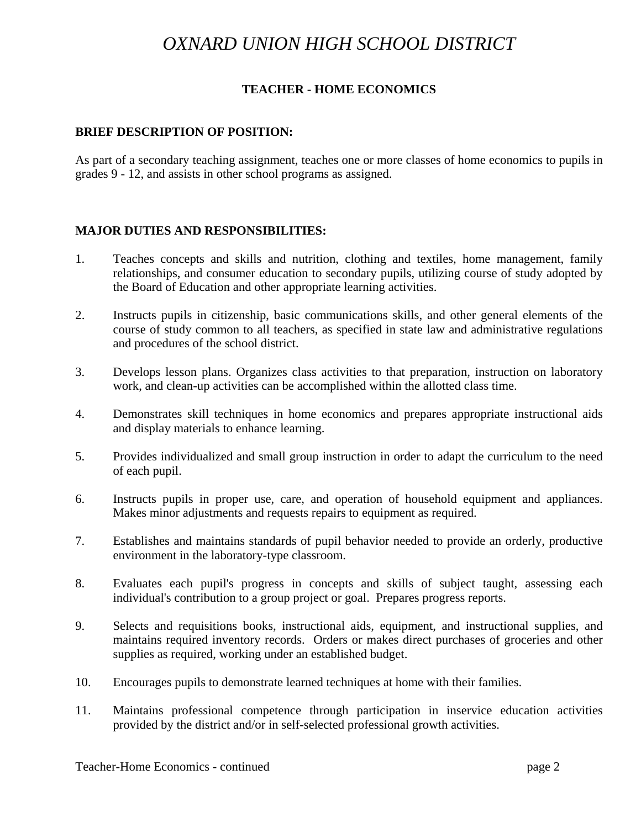# *OXNARD UNION HIGH SCHOOL DISTRICT*

## **TEACHER - HOME ECONOMICS**

#### **BRIEF DESCRIPTION OF POSITION:**

As part of a secondary teaching assignment, teaches one or more classes of home economics to pupils in grades 9 - 12, and assists in other school programs as assigned.

#### **MAJOR DUTIES AND RESPONSIBILITIES:**

- 1. Teaches concepts and skills and nutrition, clothing and textiles, home management, family relationships, and consumer education to secondary pupils, utilizing course of study adopted by the Board of Education and other appropriate learning activities.
- 2. Instructs pupils in citizenship, basic communications skills, and other general elements of the course of study common to all teachers, as specified in state law and administrative regulations and procedures of the school district.
- 3. Develops lesson plans. Organizes class activities to that preparation, instruction on laboratory work, and clean-up activities can be accomplished within the allotted class time.
- 4. Demonstrates skill techniques in home economics and prepares appropriate instructional aids and display materials to enhance learning.
- 5. Provides individualized and small group instruction in order to adapt the curriculum to the need of each pupil.
- 6. Instructs pupils in proper use, care, and operation of household equipment and appliances. Makes minor adjustments and requests repairs to equipment as required.
- 7. Establishes and maintains standards of pupil behavior needed to provide an orderly, productive environment in the laboratory-type classroom.
- 8. Evaluates each pupil's progress in concepts and skills of subject taught, assessing each individual's contribution to a group project or goal. Prepares progress reports.
- 9. Selects and requisitions books, instructional aids, equipment, and instructional supplies, and maintains required inventory records. Orders or makes direct purchases of groceries and other supplies as required, working under an established budget.
- 10. Encourages pupils to demonstrate learned techniques at home with their families.
- 11. Maintains professional competence through participation in inservice education activities provided by the district and/or in self-selected professional growth activities.